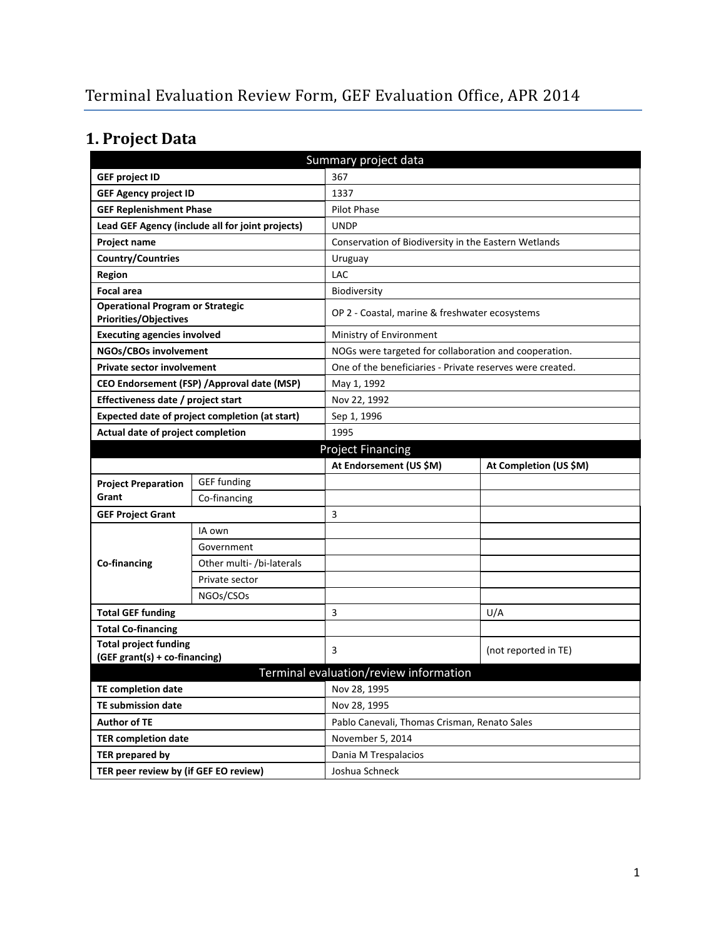# **1. Project Data**

| Summary project data                                                    |                                                  |                                                           |                                                |  |
|-------------------------------------------------------------------------|--------------------------------------------------|-----------------------------------------------------------|------------------------------------------------|--|
| <b>GEF project ID</b>                                                   |                                                  | 367                                                       |                                                |  |
| <b>GEF Agency project ID</b>                                            |                                                  | 1337                                                      |                                                |  |
| <b>GEF Replenishment Phase</b>                                          |                                                  | <b>Pilot Phase</b>                                        |                                                |  |
|                                                                         | Lead GEF Agency (include all for joint projects) | <b>UNDP</b>                                               |                                                |  |
| Project name                                                            |                                                  | Conservation of Biodiversity in the Eastern Wetlands      |                                                |  |
| <b>Country/Countries</b>                                                |                                                  | Uruguay                                                   |                                                |  |
| <b>Region</b>                                                           |                                                  | LAC                                                       |                                                |  |
| <b>Focal area</b>                                                       |                                                  | Biodiversity                                              |                                                |  |
| <b>Operational Program or Strategic</b><br><b>Priorities/Objectives</b> |                                                  |                                                           | OP 2 - Coastal, marine & freshwater ecosystems |  |
| <b>Executing agencies involved</b>                                      |                                                  | Ministry of Environment                                   |                                                |  |
| NGOs/CBOs involvement                                                   |                                                  | NOGs were targeted for collaboration and cooperation.     |                                                |  |
| <b>Private sector involvement</b>                                       |                                                  | One of the beneficiaries - Private reserves were created. |                                                |  |
|                                                                         | CEO Endorsement (FSP) / Approval date (MSP)      | May 1, 1992                                               |                                                |  |
| Effectiveness date / project start                                      |                                                  | Nov 22, 1992                                              |                                                |  |
| Expected date of project completion (at start)                          |                                                  | Sep 1, 1996                                               |                                                |  |
| Actual date of project completion                                       |                                                  | 1995                                                      |                                                |  |
|                                                                         |                                                  | <b>Project Financing</b>                                  |                                                |  |
|                                                                         |                                                  | At Endorsement (US \$M)                                   | At Completion (US \$M)                         |  |
| <b>Project Preparation</b>                                              | <b>GEF</b> funding                               |                                                           |                                                |  |
| Grant                                                                   | Co-financing                                     |                                                           |                                                |  |
| <b>GEF Project Grant</b>                                                |                                                  | 3                                                         |                                                |  |
|                                                                         | IA own                                           |                                                           |                                                |  |
|                                                                         | Government                                       |                                                           |                                                |  |
| Co-financing                                                            | Other multi- /bi-laterals                        |                                                           |                                                |  |
|                                                                         | Private sector                                   |                                                           |                                                |  |
|                                                                         | NGOs/CSOs                                        |                                                           |                                                |  |
| <b>Total GEF funding</b>                                                |                                                  | 3                                                         | U/A                                            |  |
| <b>Total Co-financing</b>                                               |                                                  |                                                           |                                                |  |
| <b>Total project funding</b>                                            |                                                  | 3                                                         | (not reported in TE)                           |  |
| (GEF grant(s) + co-financing)                                           |                                                  |                                                           |                                                |  |
|                                                                         |                                                  | Terminal evaluation/review information                    |                                                |  |
| <b>TE completion date</b>                                               |                                                  | Nov 28, 1995                                              |                                                |  |
| <b>TE submission date</b>                                               |                                                  | Nov 28, 1995                                              |                                                |  |
| <b>Author of TE</b>                                                     |                                                  | Pablo Canevali, Thomas Crisman, Renato Sales              |                                                |  |
| <b>TER completion date</b>                                              |                                                  | November 5, 2014                                          |                                                |  |
| TER prepared by                                                         |                                                  | Dania M Trespalacios                                      |                                                |  |
| TER peer review by (if GEF EO review)                                   |                                                  | Joshua Schneck                                            |                                                |  |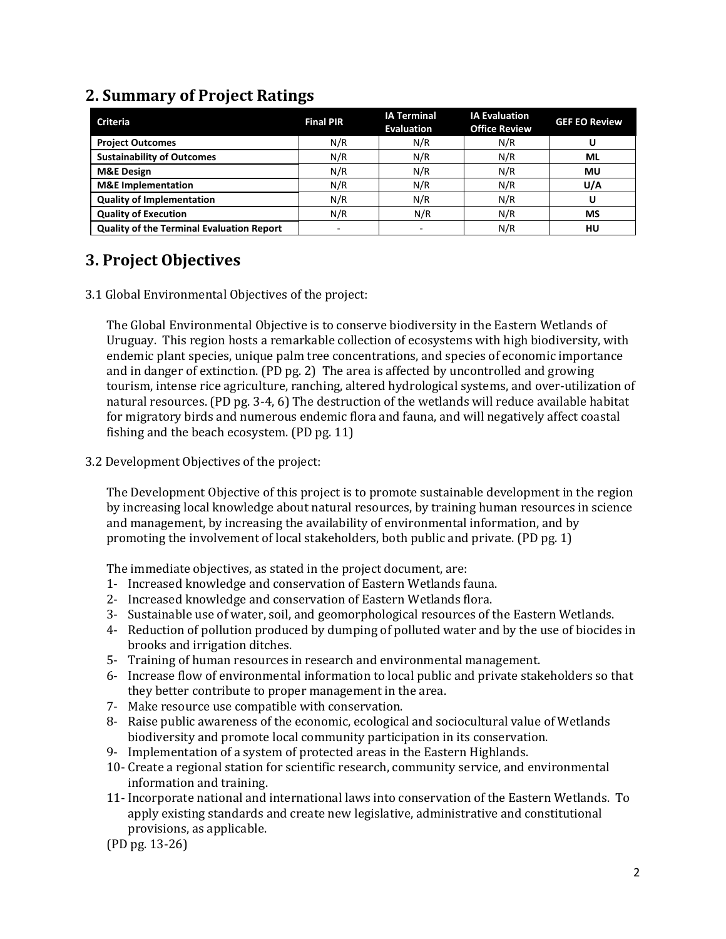| <b>Criteria</b>                                  | <b>Final PIR</b>         | <b>IA Terminal</b><br><b>Evaluation</b> | <b>IA Evaluation</b><br><b>Office Review</b> | <b>GEF EO Review</b> |
|--------------------------------------------------|--------------------------|-----------------------------------------|----------------------------------------------|----------------------|
| <b>Project Outcomes</b>                          | N/R                      | N/R                                     | N/R                                          |                      |
| <b>Sustainability of Outcomes</b>                | N/R                      | N/R                                     | N/R                                          | <b>ML</b>            |
| <b>M&amp;E Design</b>                            | N/R                      | N/R                                     | N/R                                          | MU                   |
| <b>M&amp;E</b> Implementation                    | N/R                      | N/R                                     | N/R                                          | U/A                  |
| <b>Quality of Implementation</b>                 | N/R                      | N/R                                     | N/R                                          |                      |
| <b>Quality of Execution</b>                      | N/R                      | N/R                                     | N/R                                          | MS                   |
| <b>Quality of the Terminal Evaluation Report</b> | $\overline{\phantom{a}}$ |                                         | N/R                                          | HU                   |

#### **2. Summary of Project Ratings**

## **3. Project Objectives**

3.1 Global Environmental Objectives of the project:

The Global Environmental Objective is to conserve biodiversity in the Eastern Wetlands of Uruguay. This region hosts a remarkable collection of ecosystems with high biodiversity, with endemic plant species, unique palm tree concentrations, and species of economic importance and in danger of extinction. (PD pg. 2) The area is affected by uncontrolled and growing tourism, intense rice agriculture, ranching, altered hydrological systems, and over-utilization of natural resources. (PD pg. 3-4, 6) The destruction of the wetlands will reduce available habitat for migratory birds and numerous endemic flora and fauna, and will negatively affect coastal fishing and the beach ecosystem. (PD pg. 11)

3.2 Development Objectives of the project:

The Development Objective of this project is to promote sustainable development in the region by increasing local knowledge about natural resources, by training human resources in science and management, by increasing the availability of environmental information, and by promoting the involvement of local stakeholders, both public and private. (PD pg. 1)

The immediate objectives, as stated in the project document, are:

- 1- Increased knowledge and conservation of Eastern Wetlands fauna.
- 2- Increased knowledge and conservation of Eastern Wetlands flora.
- 3- Sustainable use of water, soil, and geomorphological resources of the Eastern Wetlands.
- 4- Reduction of pollution produced by dumping of polluted water and by the use of biocides in brooks and irrigation ditches.
- 5- Training of human resources in research and environmental management.
- 6- Increase flow of environmental information to local public and private stakeholders so that they better contribute to proper management in the area.
- 7- Make resource use compatible with conservation.
- 8- Raise public awareness of the economic, ecological and sociocultural value of Wetlands biodiversity and promote local community participation in its conservation.
- 9- Implementation of a system of protected areas in the Eastern Highlands.
- 10- Create a regional station for scientific research, community service, and environmental information and training.
- 11- Incorporate national and international laws into conservation of the Eastern Wetlands. To apply existing standards and create new legislative, administrative and constitutional provisions, as applicable.
- (PD pg. 13-26)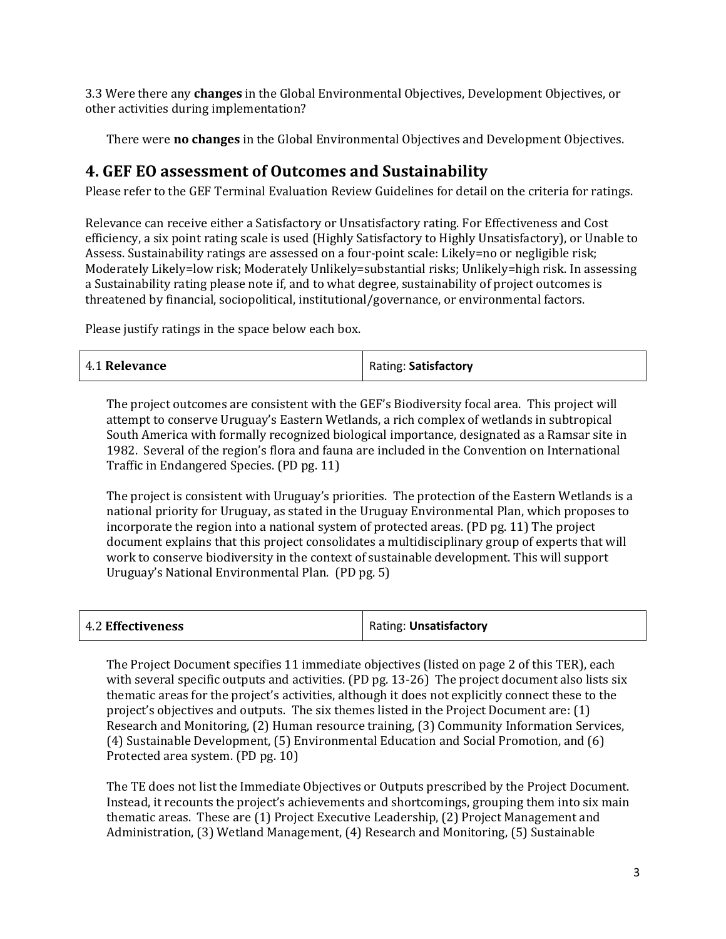3.3 Were there any **changes** in the Global Environmental Objectives, Development Objectives, or other activities during implementation?

There were **no changes** in the Global Environmental Objectives and Development Objectives.

#### **4. GEF EO assessment of Outcomes and Sustainability**

Please refer to the GEF Terminal Evaluation Review Guidelines for detail on the criteria for ratings.

Relevance can receive either a Satisfactory or Unsatisfactory rating. For Effectiveness and Cost efficiency, a six point rating scale is used (Highly Satisfactory to Highly Unsatisfactory), or Unable to Assess. Sustainability ratings are assessed on a four-point scale: Likely=no or negligible risk; Moderately Likely=low risk; Moderately Unlikely=substantial risks; Unlikely=high risk. In assessing a Sustainability rating please note if, and to what degree, sustainability of project outcomes is threatened by financial, sociopolitical, institutional/governance, or environmental factors.

Please justify ratings in the space below each box.

| 4.1 Relevance | Rating: Satisfactory |
|---------------|----------------------|
|---------------|----------------------|

The project outcomes are consistent with the GEF's Biodiversity focal area. This project will attempt to conserve Uruguay's Eastern Wetlands, a rich complex of wetlands in subtropical South America with formally recognized biological importance, designated as a Ramsar site in 1982. Several of the region's flora and fauna are included in the Convention on International Traffic in Endangered Species. (PD pg. 11)

The project is consistent with Uruguay's priorities. The protection of the Eastern Wetlands is a national priority for Uruguay, as stated in the Uruguay Environmental Plan, which proposes to incorporate the region into a national system of protected areas. (PD pg. 11) The project document explains that this project consolidates a multidisciplinary group of experts that will work to conserve biodiversity in the context of sustainable development. This will support Uruguay's National Environmental Plan. (PD pg. 5)

| 4.2 Effectiveness | Rating: Unsatisfactory |
|-------------------|------------------------|
|-------------------|------------------------|

The Project Document specifies 11 immediate objectives (listed on page 2 of this TER), each with several specific outputs and activities. (PD pg. 13-26) The project document also lists six thematic areas for the project's activities, although it does not explicitly connect these to the project's objectives and outputs. The six themes listed in the Project Document are: (1) Research and Monitoring, (2) Human resource training, (3) Community Information Services, (4) Sustainable Development, (5) Environmental Education and Social Promotion, and (6) Protected area system. (PD pg. 10)

The TE does not list the Immediate Objectives or Outputs prescribed by the Project Document. Instead, it recounts the project's achievements and shortcomings, grouping them into six main thematic areas. These are (1) Project Executive Leadership, (2) Project Management and Administration, (3) Wetland Management, (4) Research and Monitoring, (5) Sustainable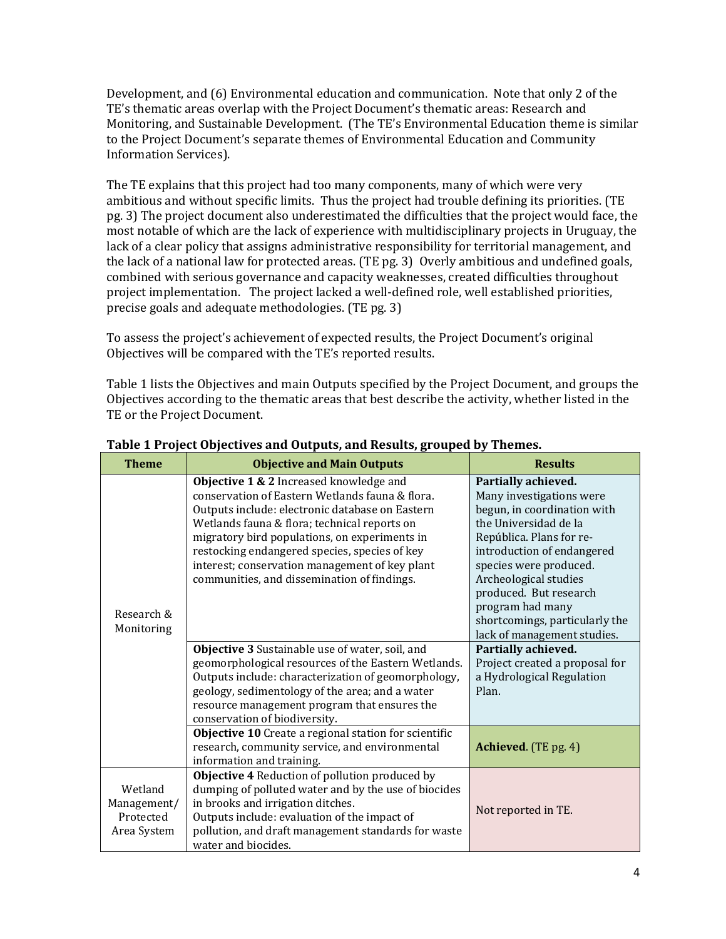Development, and (6) Environmental education and communication. Note that only 2 of the TE's thematic areas overlap with the Project Document's thematic areas: Research and Monitoring, and Sustainable Development. (The TE's Environmental Education theme is similar to the Project Document's separate themes of Environmental Education and Community Information Services).

The TE explains that this project had too many components, many of which were very ambitious and without specific limits. Thus the project had trouble defining its priorities. (TE pg. 3) The project document also underestimated the difficulties that the project would face, the most notable of which are the lack of experience with multidisciplinary projects in Uruguay, the lack of a clear policy that assigns administrative responsibility for territorial management, and the lack of a national law for protected areas. (TE pg. 3) Overly ambitious and undefined goals, combined with serious governance and capacity weaknesses, created difficulties throughout project implementation. The project lacked a well-defined role, well established priorities, precise goals and adequate methodologies. (TE pg. 3)

To assess the project's achievement of expected results, the Project Document's original Objectives will be compared with the TE's reported results.

Table 1 lists the Objectives and main Outputs specified by the Project Document, and groups the Objectives according to the thematic areas that best describe the activity, whether listed in the TE or the Project Document.

| <b>Theme</b>                                       | <b>Objective and Main Outputs</b>                                                                                                                                                                                                                                                                                                                                                                | <b>Results</b>                                                                                                                                                                                                                                                                                       |
|----------------------------------------------------|--------------------------------------------------------------------------------------------------------------------------------------------------------------------------------------------------------------------------------------------------------------------------------------------------------------------------------------------------------------------------------------------------|------------------------------------------------------------------------------------------------------------------------------------------------------------------------------------------------------------------------------------------------------------------------------------------------------|
| Research &                                         | Objective 1 & 2 Increased knowledge and<br>conservation of Eastern Wetlands fauna & flora.<br>Outputs include: electronic database on Eastern<br>Wetlands fauna & flora; technical reports on<br>migratory bird populations, on experiments in<br>restocking endangered species, species of key<br>interest; conservation management of key plant<br>communities, and dissemination of findings. | Partially achieved.<br>Many investigations were<br>begun, in coordination with<br>the Universidad de la<br>República. Plans for re-<br>introduction of endangered<br>species were produced.<br>Archeological studies<br>produced. But research<br>program had many<br>shortcomings, particularly the |
| Monitoring                                         | Objective 3 Sustainable use of water, soil, and<br>geomorphological resources of the Eastern Wetlands.<br>Outputs include: characterization of geomorphology,<br>geology, sedimentology of the area; and a water<br>resource management program that ensures the<br>conservation of biodiversity.                                                                                                | lack of management studies.<br>Partially achieved.<br>Project created a proposal for<br>a Hydrological Regulation<br>Plan.                                                                                                                                                                           |
|                                                    | Objective 10 Create a regional station for scientific<br>research, community service, and environmental<br>information and training.                                                                                                                                                                                                                                                             | <b>Achieved.</b> (TE pg. 4)                                                                                                                                                                                                                                                                          |
| Wetland<br>Management/<br>Protected<br>Area System | Objective 4 Reduction of pollution produced by<br>dumping of polluted water and by the use of biocides<br>in brooks and irrigation ditches.<br>Outputs include: evaluation of the impact of<br>pollution, and draft management standards for waste<br>water and biocides.                                                                                                                        | Not reported in TE.                                                                                                                                                                                                                                                                                  |

**Table 1 Project Objectives and Outputs, and Results, grouped by Themes.**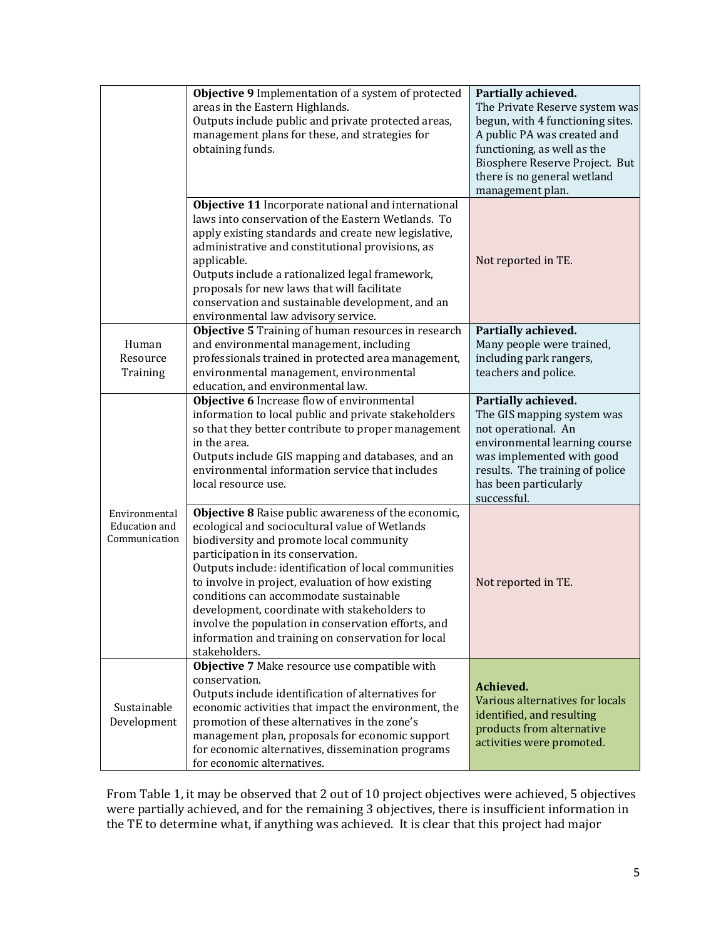|                                                 | Objective 9 Implementation of a system of protected<br>areas in the Eastern Highlands.<br>Outputs include public and private protected areas,<br>management plans for these, and strategies for<br>obtaining funds.                                                                                                                                                                                                                                                                                                          | Partially achieved.<br>The Private Reserve system was<br>begun, with 4 functioning sites.<br>A public PA was created and<br>functioning, as well as the<br>Biosphere Reserve Project. But<br>there is no general wetland<br>management plan. |
|-------------------------------------------------|------------------------------------------------------------------------------------------------------------------------------------------------------------------------------------------------------------------------------------------------------------------------------------------------------------------------------------------------------------------------------------------------------------------------------------------------------------------------------------------------------------------------------|----------------------------------------------------------------------------------------------------------------------------------------------------------------------------------------------------------------------------------------------|
|                                                 | Objective 11 Incorporate national and international<br>laws into conservation of the Eastern Wetlands. To<br>apply existing standards and create new legislative,<br>administrative and constitutional provisions, as<br>applicable.<br>Outputs include a rationalized legal framework,<br>proposals for new laws that will facilitate<br>conservation and sustainable development, and an<br>environmental law advisory service.                                                                                            | Not reported in TE.                                                                                                                                                                                                                          |
| Human<br>Resource<br>Training                   | Objective 5 Training of human resources in research<br>and environmental management, including<br>professionals trained in protected area management,<br>environmental management, environmental<br>education, and environmental law.                                                                                                                                                                                                                                                                                        | Partially achieved.<br>Many people were trained,<br>including park rangers,<br>teachers and police.                                                                                                                                          |
|                                                 | Objective 6 Increase flow of environmental<br>information to local public and private stakeholders<br>so that they better contribute to proper management<br>in the area.<br>Outputs include GIS mapping and databases, and an<br>environmental information service that includes<br>local resource use.                                                                                                                                                                                                                     | Partially achieved.<br>The GIS mapping system was<br>not operational. An<br>environmental learning course<br>was implemented with good<br>results. The training of police<br>has been particularly<br>successful.                            |
| Environmental<br>Education and<br>Communication | Objective 8 Raise public awareness of the economic,<br>ecological and sociocultural value of Wetlands<br>biodiversity and promote local community<br>participation in its conservation.<br>Outputs include: identification of local communities<br>to involve in project, evaluation of how existing<br>conditions can accommodate sustainable<br>development, coordinate with stakeholders to<br>involve the population in conservation efforts, and<br>information and training on conservation for local<br>stakeholders. | Not reported in TE.                                                                                                                                                                                                                          |
| Sustainable<br>Development                      | Objective 7 Make resource use compatible with<br>conservation.<br>Outputs include identification of alternatives for<br>economic activities that impact the environment, the<br>promotion of these alternatives in the zone's<br>management plan, proposals for economic support<br>for economic alternatives, dissemination programs<br>for economic alternatives.                                                                                                                                                          | Achieved.<br>Various alternatives for locals<br>identified, and resulting<br>products from alternative<br>activities were promoted.                                                                                                          |

From Table 1, it may be observed that 2 out of 10 project objectives were achieved, 5 objectives were partially achieved, and for the remaining 3 objectives, there is insufficient information in the TE to determine what, if anything was achieved. It is clear that this project had major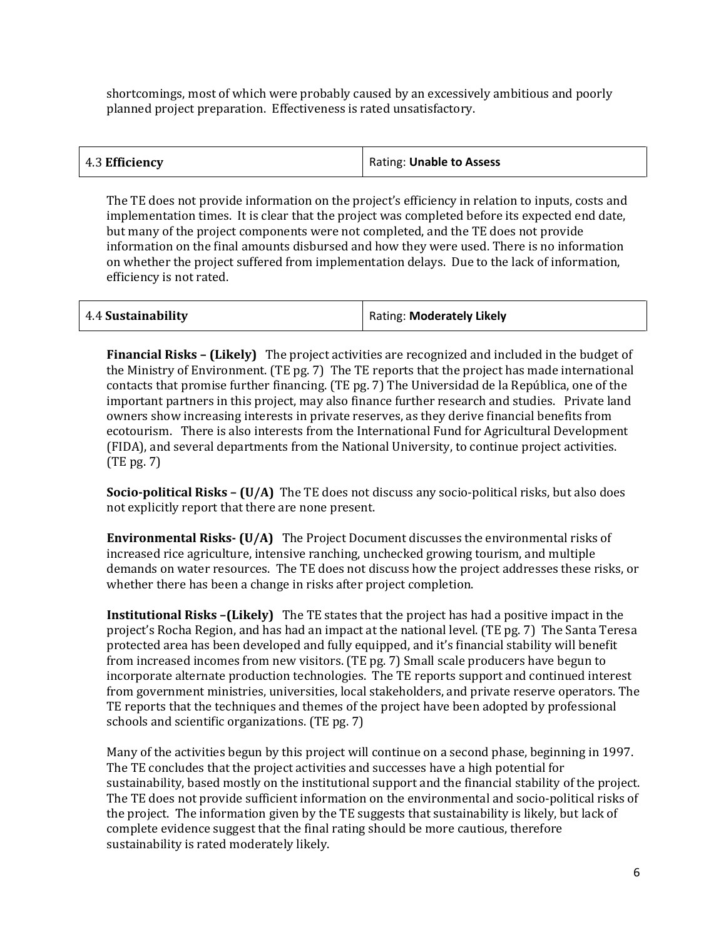shortcomings, most of which were probably caused by an excessively ambitious and poorly planned project preparation. Effectiveness is rated unsatisfactory.

| 4.3 Efficiency | Rating: Unable to Assess |
|----------------|--------------------------|
|                |                          |

The TE does not provide information on the project's efficiency in relation to inputs, costs and implementation times. It is clear that the project was completed before its expected end date, but many of the project components were not completed, and the TE does not provide information on the final amounts disbursed and how they were used. There is no information on whether the project suffered from implementation delays. Due to the lack of information, efficiency is not rated.

| 4.4 Sustainability | Rating: Moderately Likely |
|--------------------|---------------------------|
|--------------------|---------------------------|

**Financial Risks – (Likely)** The project activities are recognized and included in the budget of the Ministry of Environment. (TE pg. 7) The TE reports that the project has made international contacts that promise further financing. (TE pg. 7) The Universidad de la República, one of the important partners in this project, may also finance further research and studies. Private land owners show increasing interests in private reserves, as they derive financial benefits from ecotourism. There is also interests from the International Fund for Agricultural Development (FIDA), and several departments from the National University, to continue project activities. (TE pg. 7)

**Socio-political Risks – (U/A)** The TE does not discuss any socio-political risks, but also does not explicitly report that there are none present.

**Environmental Risks- (U/A)** The Project Document discusses the environmental risks of increased rice agriculture, intensive ranching, unchecked growing tourism, and multiple demands on water resources. The TE does not discuss how the project addresses these risks, or whether there has been a change in risks after project completion.

**Institutional Risks –(Likely)** The TE states that the project has had a positive impact in the project's Rocha Region, and has had an impact at the national level. (TE pg. 7) The Santa Teresa protected area has been developed and fully equipped, and it's financial stability will benefit from increased incomes from new visitors. (TE pg. 7) Small scale producers have begun to incorporate alternate production technologies. The TE reports support and continued interest from government ministries, universities, local stakeholders, and private reserve operators. The TE reports that the techniques and themes of the project have been adopted by professional schools and scientific organizations. (TE pg. 7)

Many of the activities begun by this project will continue on a second phase, beginning in 1997. The TE concludes that the project activities and successes have a high potential for sustainability, based mostly on the institutional support and the financial stability of the project. The TE does not provide sufficient information on the environmental and socio-political risks of the project. The information given by the TE suggests that sustainability is likely, but lack of complete evidence suggest that the final rating should be more cautious, therefore sustainability is rated moderately likely.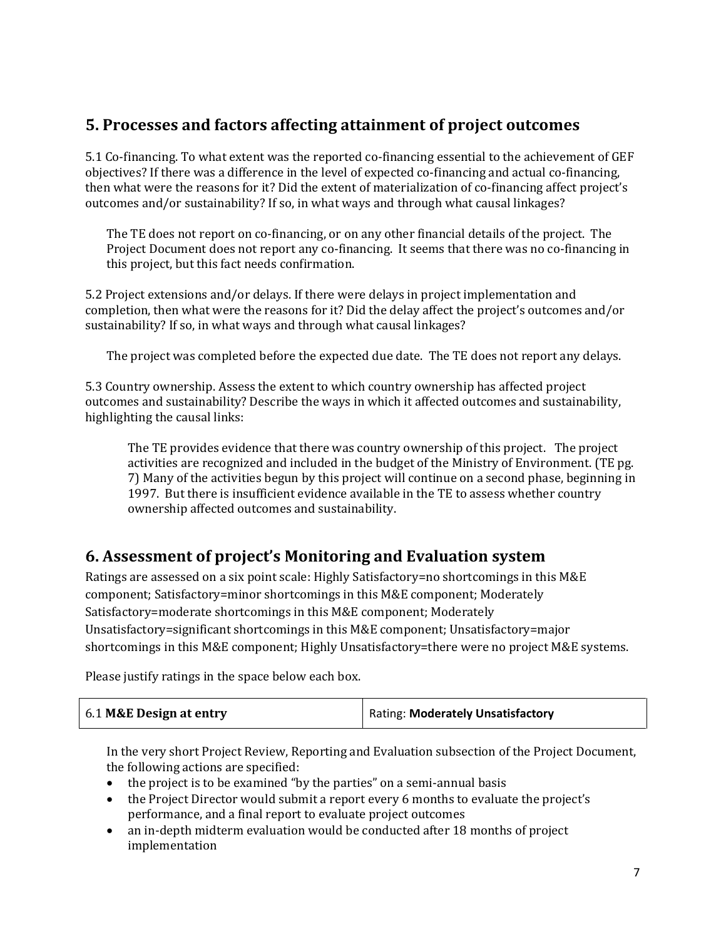## **5. Processes and factors affecting attainment of project outcomes**

5.1 Co-financing. To what extent was the reported co-financing essential to the achievement of GEF objectives? If there was a difference in the level of expected co-financing and actual co-financing, then what were the reasons for it? Did the extent of materialization of co-financing affect project's outcomes and/or sustainability? If so, in what ways and through what causal linkages?

The TE does not report on co-financing, or on any other financial details of the project. The Project Document does not report any co-financing. It seems that there was no co-financing in this project, but this fact needs confirmation.

5.2 Project extensions and/or delays. If there were delays in project implementation and completion, then what were the reasons for it? Did the delay affect the project's outcomes and/or sustainability? If so, in what ways and through what causal linkages?

The project was completed before the expected due date. The TE does not report any delays.

5.3 Country ownership. Assess the extent to which country ownership has affected project outcomes and sustainability? Describe the ways in which it affected outcomes and sustainability, highlighting the causal links:

The TE provides evidence that there was country ownership of this project. The project activities are recognized and included in the budget of the Ministry of Environment. (TE pg. 7) Many of the activities begun by this project will continue on a second phase, beginning in 1997. But there is insufficient evidence available in the TE to assess whether country ownership affected outcomes and sustainability.

#### **6. Assessment of project's Monitoring and Evaluation system**

Ratings are assessed on a six point scale: Highly Satisfactory=no shortcomings in this M&E component; Satisfactory=minor shortcomings in this M&E component; Moderately Satisfactory=moderate shortcomings in this M&E component; Moderately Unsatisfactory=significant shortcomings in this M&E component; Unsatisfactory=major shortcomings in this M&E component; Highly Unsatisfactory=there were no project M&E systems.

Please justify ratings in the space below each box.

| 6.1 M&E Design at entry | Rating: Moderately Unsatisfactory |
|-------------------------|-----------------------------------|
|                         |                                   |

In the very short Project Review, Reporting and Evaluation subsection of the Project Document, the following actions are specified:

- the project is to be examined "by the parties" on a semi-annual basis
- the Project Director would submit a report every 6 months to evaluate the project's performance, and a final report to evaluate project outcomes
- an in-depth midterm evaluation would be conducted after 18 months of project implementation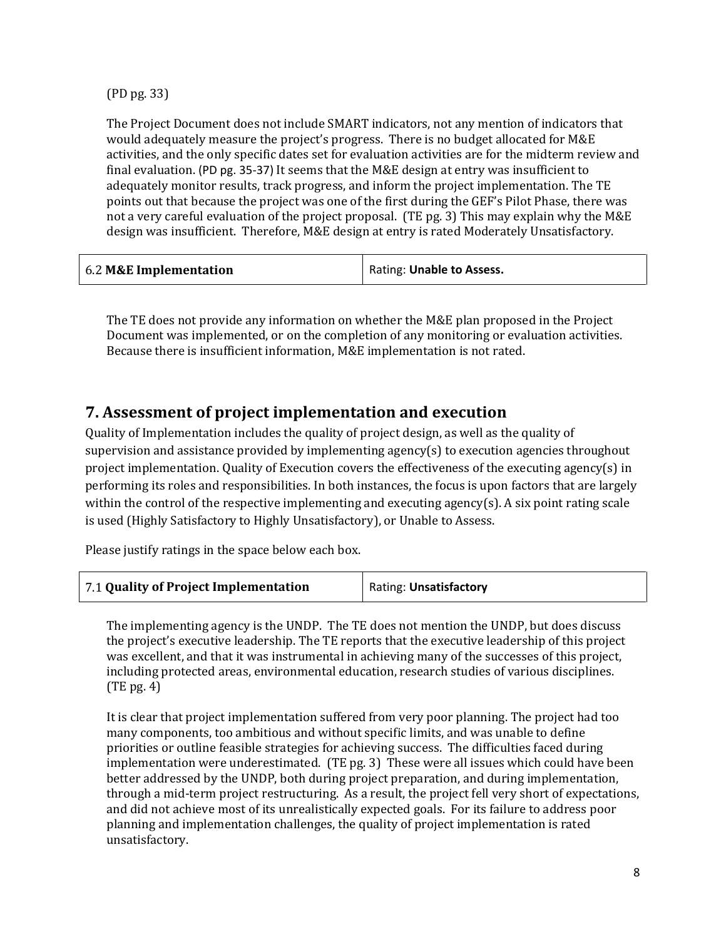(PD pg. 33)

The Project Document does not include SMART indicators, not any mention of indicators that would adequately measure the project's progress. There is no budget allocated for M&E activities, and the only specific dates set for evaluation activities are for the midterm review and final evaluation. (PD pg. 35-37) It seems that the M&E design at entry was insufficient to adequately monitor results, track progress, and inform the project implementation. The TE points out that because the project was one of the first during the GEF's Pilot Phase, there was not a very careful evaluation of the project proposal. (TE pg. 3) This may explain why the M&E design was insufficient. Therefore, M&E design at entry is rated Moderately Unsatisfactory.

| 6.2 M&E Implementation | Rating: Unable to Assess. |
|------------------------|---------------------------|
|------------------------|---------------------------|

The TE does not provide any information on whether the M&E plan proposed in the Project Document was implemented, or on the completion of any monitoring or evaluation activities. Because there is insufficient information, M&E implementation is not rated.

#### **7. Assessment of project implementation and execution**

Quality of Implementation includes the quality of project design, as well as the quality of supervision and assistance provided by implementing agency(s) to execution agencies throughout project implementation. Quality of Execution covers the effectiveness of the executing agency(s) in performing its roles and responsibilities. In both instances, the focus is upon factors that are largely within the control of the respective implementing and executing agency(s). A six point rating scale is used (Highly Satisfactory to Highly Unsatisfactory), or Unable to Assess.

Please justify ratings in the space below each box.

| 7.1 Quality of Project Implementation | Rating: Unsatisfactory |
|---------------------------------------|------------------------|
|---------------------------------------|------------------------|

The implementing agency is the UNDP. The TE does not mention the UNDP, but does discuss the project's executive leadership. The TE reports that the executive leadership of this project was excellent, and that it was instrumental in achieving many of the successes of this project, including protected areas, environmental education, research studies of various disciplines. (TE pg. 4)

It is clear that project implementation suffered from very poor planning. The project had too many components, too ambitious and without specific limits, and was unable to define priorities or outline feasible strategies for achieving success. The difficulties faced during implementation were underestimated. (TE pg. 3) These were all issues which could have been better addressed by the UNDP, both during project preparation, and during implementation, through a mid-term project restructuring. As a result, the project fell very short of expectations, and did not achieve most of its unrealistically expected goals. For its failure to address poor planning and implementation challenges, the quality of project implementation is rated unsatisfactory.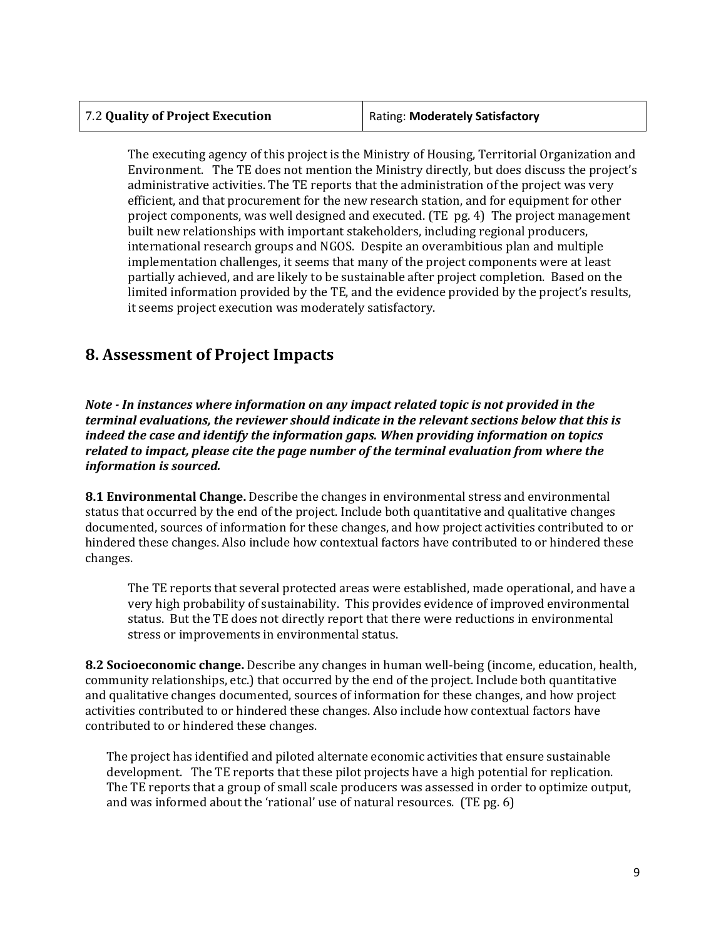| 7.2 Quality of Project Execution | Rating: Moderately Satisfactory |
|----------------------------------|---------------------------------|
|----------------------------------|---------------------------------|

The executing agency of this project is the Ministry of Housing, Territorial Organization and Environment. The TE does not mention the Ministry directly, but does discuss the project's administrative activities. The TE reports that the administration of the project was very efficient, and that procurement for the new research station, and for equipment for other project components, was well designed and executed. (TE pg. 4) The project management built new relationships with important stakeholders, including regional producers, international research groups and NGOS. Despite an overambitious plan and multiple implementation challenges, it seems that many of the project components were at least partially achieved, and are likely to be sustainable after project completion. Based on the limited information provided by the TE, and the evidence provided by the project's results, it seems project execution was moderately satisfactory.

#### **8. Assessment of Project Impacts**

 $\overline{a}$ 

*Note - In instances where information on any impact related topic is not provided in the terminal evaluations, the reviewer should indicate in the relevant sections below that this is indeed the case and identify the information gaps. When providing information on topics related to impact, please cite the page number of the terminal evaluation from where the information is sourced.* 

**8.1 Environmental Change.** Describe the changes in environmental stress and environmental status that occurred by the end of the project. Include both quantitative and qualitative changes documented, sources of information for these changes, and how project activities contributed to or hindered these changes. Also include how contextual factors have contributed to or hindered these changes.

The TE reports that several protected areas were established, made operational, and have a very high probability of sustainability. This provides evidence of improved environmental status. But the TE does not directly report that there were reductions in environmental stress or improvements in environmental status.

**8.2 Socioeconomic change.** Describe any changes in human well-being (income, education, health, community relationships, etc.) that occurred by the end of the project. Include both quantitative and qualitative changes documented, sources of information for these changes, and how project activities contributed to or hindered these changes. Also include how contextual factors have contributed to or hindered these changes.

The project has identified and piloted alternate economic activities that ensure sustainable development. The TE reports that these pilot projects have a high potential for replication. The TE reports that a group of small scale producers was assessed in order to optimize output, and was informed about the 'rational' use of natural resources. (TE pg. 6)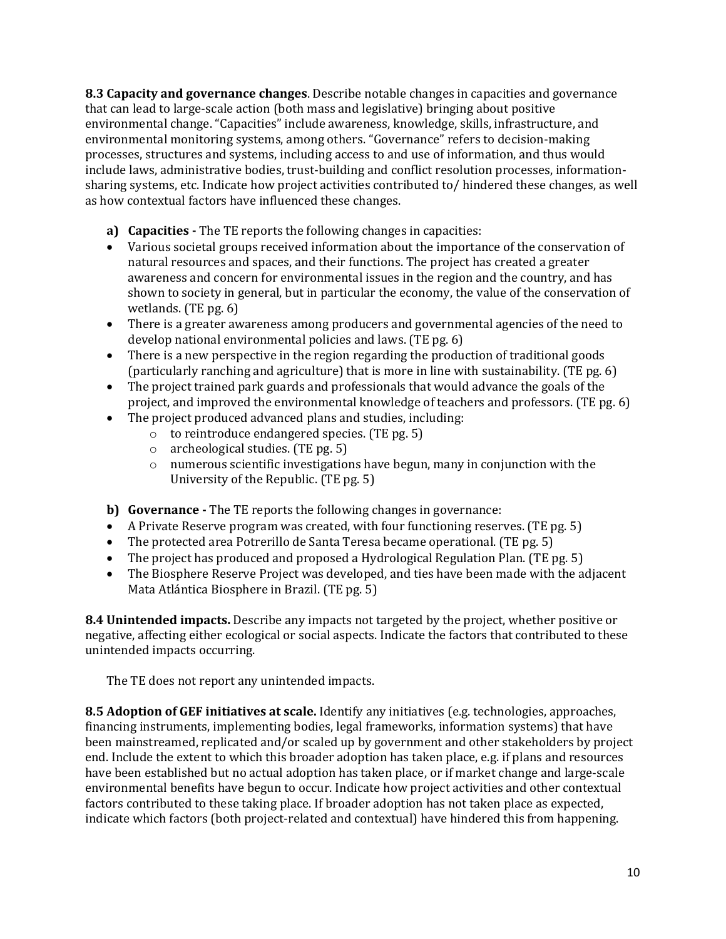**8.3 Capacity and governance changes**. Describe notable changes in capacities and governance that can lead to large-scale action (both mass and legislative) bringing about positive environmental change. "Capacities" include awareness, knowledge, skills, infrastructure, and environmental monitoring systems, among others. "Governance" refers to decision-making processes, structures and systems, including access to and use of information, and thus would include laws, administrative bodies, trust-building and conflict resolution processes, informationsharing systems, etc. Indicate how project activities contributed to/ hindered these changes, as well as how contextual factors have influenced these changes.

**a) Capacities -** The TE reports the following changes in capacities:

- Various societal groups received information about the importance of the conservation of natural resources and spaces, and their functions. The project has created a greater awareness and concern for environmental issues in the region and the country, and has shown to society in general, but in particular the economy, the value of the conservation of wetlands. (TE pg. 6)
- There is a greater awareness among producers and governmental agencies of the need to develop national environmental policies and laws. (TE pg. 6)
- There is a new perspective in the region regarding the production of traditional goods (particularly ranching and agriculture) that is more in line with sustainability. (TE pg. 6)
- The project trained park guards and professionals that would advance the goals of the project, and improved the environmental knowledge of teachers and professors. (TE pg. 6)
- The project produced advanced plans and studies, including:
	- o to reintroduce endangered species. (TE pg. 5)
	- o archeological studies. (TE pg. 5)
	- $\circ$  numerous scientific investigations have begun, many in conjunction with the University of the Republic. (TE pg. 5)

**b) Governance -** The TE reports the following changes in governance:

- A Private Reserve program was created, with four functioning reserves. (TE pg. 5)
- The protected area Potrerillo de Santa Teresa became operational. (TE pg. 5)
- 
- The project has produced and proposed a Hydrological Regulation Plan. (TE pg. 5)<br>• The Biosphere Reserve Project was developed, and ties have been made with the a • The Biosphere Reserve Project was developed, and ties have been made with the adjacent Mata Atlántica Biosphere in Brazil. (TE pg. 5)

**8.4 Unintended impacts.** Describe any impacts not targeted by the project, whether positive or negative, affecting either ecological or social aspects. Indicate the factors that contributed to these unintended impacts occurring.

The TE does not report any unintended impacts.

**8.5 Adoption of GEF initiatives at scale.** Identify any initiatives (e.g. technologies, approaches, financing instruments, implementing bodies, legal frameworks, information systems) that have been mainstreamed, replicated and/or scaled up by government and other stakeholders by project end. Include the extent to which this broader adoption has taken place, e.g. if plans and resources have been established but no actual adoption has taken place, or if market change and large-scale environmental benefits have begun to occur. Indicate how project activities and other contextual factors contributed to these taking place. If broader adoption has not taken place as expected, indicate which factors (both project-related and contextual) have hindered this from happening.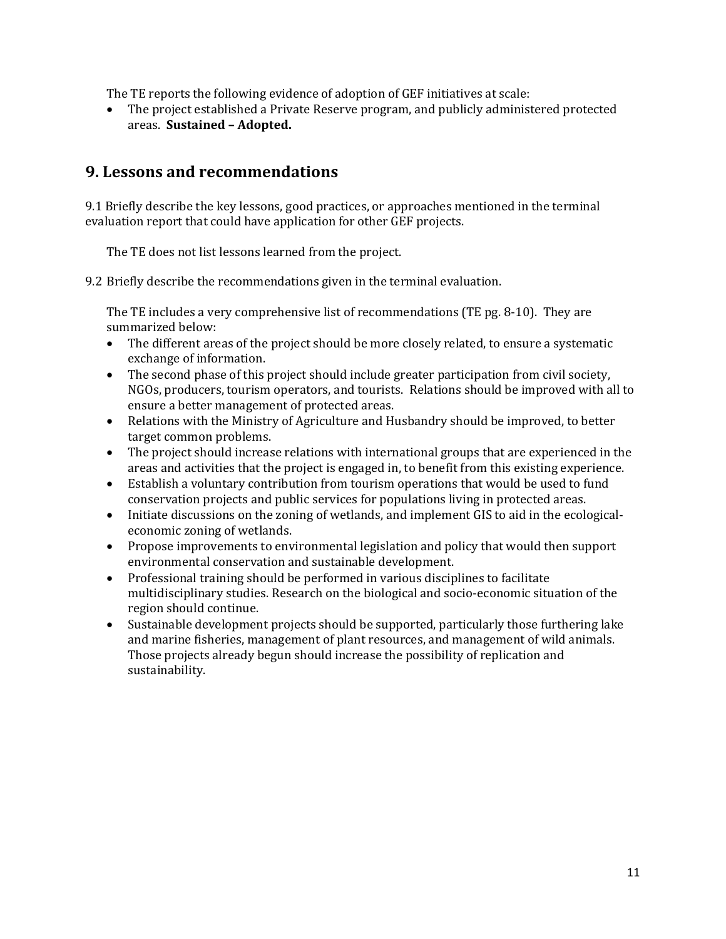The TE reports the following evidence of adoption of GEF initiatives at scale:

• The project established a Private Reserve program, and publicly administered protected areas. **Sustained – Adopted.**

#### **9. Lessons and recommendations**

9.1 Briefly describe the key lessons, good practices, or approaches mentioned in the terminal evaluation report that could have application for other GEF projects.

The TE does not list lessons learned from the project.

9.2 Briefly describe the recommendations given in the terminal evaluation.

The TE includes a very comprehensive list of recommendations (TE pg. 8-10). They are summarized below:

- The different areas of the project should be more closely related, to ensure a systematic exchange of information.
- The second phase of this project should include greater participation from civil society, NGOs, producers, tourism operators, and tourists. Relations should be improved with all to ensure a better management of protected areas.
- Relations with the Ministry of Agriculture and Husbandry should be improved, to better target common problems.
- The project should increase relations with international groups that are experienced in the areas and activities that the project is engaged in, to benefit from this existing experience.
- Establish a voluntary contribution from tourism operations that would be used to fund conservation projects and public services for populations living in protected areas.
- Initiate discussions on the zoning of wetlands, and implement GIS to aid in the ecologicaleconomic zoning of wetlands.
- Propose improvements to environmental legislation and policy that would then support environmental conservation and sustainable development.
- Professional training should be performed in various disciplines to facilitate multidisciplinary studies. Research on the biological and socio-economic situation of the region should continue.
- Sustainable development projects should be supported, particularly those furthering lake and marine fisheries, management of plant resources, and management of wild animals. Those projects already begun should increase the possibility of replication and sustainability.